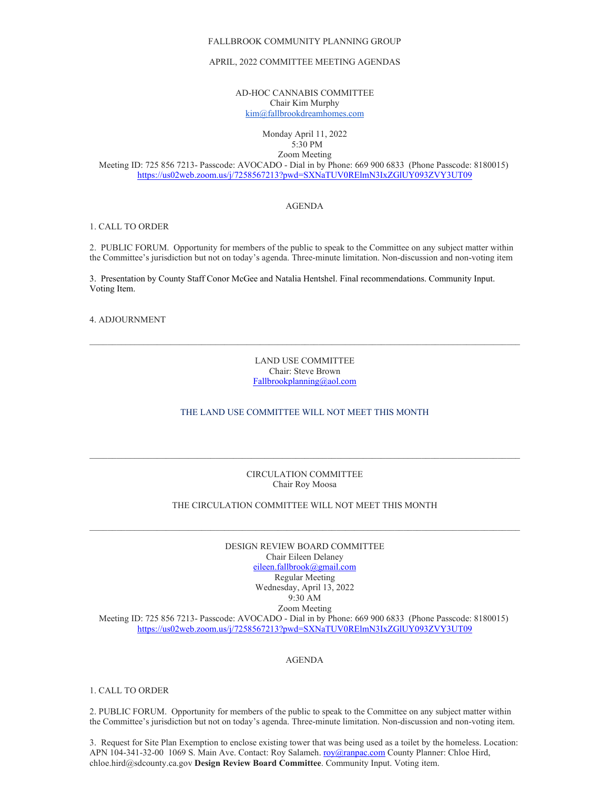#### FALLBROOK COMMUNITY PLANNING GROUP

#### APRIL, 2022 COMMITTEE MEETING AGENDAS

AD-HOC CANNABIS COMMITTEE Chair Kim Murphy [kim@fallbrookdreamhomes.com](mailto:kim@fallbrookdreamhomes.com)

#### Monday April 11, 2022 5:30 PM

Zoom Meeting

Meeting ID: 725 856 7213- Passcode: AVOCADO - Dial in by Phone: 669 900 6833 (Phone Passcode: 8180015) <https://us02web.zoom.us/j/7258567213?pwd=SXNaTUV0RElmN3IxZGlUY093ZVY3UT09>

# AGENDA

## 1. CALL TO ORDER

2. PUBLIC FORUM. Opportunity for members of the public to speak to the Committee on any subject matter within the Committee's jurisdiction but not on today's agenda. Three-minute limitation. Non-discussion and non-voting item

3. Presentation by County Staff Conor McGee and Natalia Hentshel. Final recommendations. Community Input. Voting Item.

# 4. ADJOURNMENT

LAND USE COMMITTEE Chair: Steve Brown [Fallbrookplanning@aol.com](mailto:Fallbrookplanning@aol.com)

 $\mathcal{L}_\mathcal{L} = \{ \mathcal{L}_\mathcal{L} = \{ \mathcal{L}_\mathcal{L} = \{ \mathcal{L}_\mathcal{L} = \{ \mathcal{L}_\mathcal{L} = \{ \mathcal{L}_\mathcal{L} = \{ \mathcal{L}_\mathcal{L} = \{ \mathcal{L}_\mathcal{L} = \{ \mathcal{L}_\mathcal{L} = \{ \mathcal{L}_\mathcal{L} = \{ \mathcal{L}_\mathcal{L} = \{ \mathcal{L}_\mathcal{L} = \{ \mathcal{L}_\mathcal{L} = \{ \mathcal{L}_\mathcal{L} = \{ \mathcal{L}_\mathcal{$ 

# THE LAND USE COMMITTEE WILL NOT MEET THIS MONTH

### CIRCULATION COMMITTEE Chair Roy Moosa

 $\mathcal{L}_\mathcal{L} = \{ \mathcal{L}_\mathcal{L} = \{ \mathcal{L}_\mathcal{L} = \{ \mathcal{L}_\mathcal{L} = \{ \mathcal{L}_\mathcal{L} = \{ \mathcal{L}_\mathcal{L} = \{ \mathcal{L}_\mathcal{L} = \{ \mathcal{L}_\mathcal{L} = \{ \mathcal{L}_\mathcal{L} = \{ \mathcal{L}_\mathcal{L} = \{ \mathcal{L}_\mathcal{L} = \{ \mathcal{L}_\mathcal{L} = \{ \mathcal{L}_\mathcal{L} = \{ \mathcal{L}_\mathcal{L} = \{ \mathcal{L}_\mathcal{$ 

# THE CIRCULATION COMMITTEE WILL NOT MEET THIS MONTH

DESIGN REVIEW BOARD COMMITTEE Chair Eileen Delaney [eileen.fallbrook@gmail.com](mailto:eileen.fallbrook@gmail.com) Regular Meeting Wednesday, April 13, 2022 9:30 AM Zoom Meeting Meeting ID: 725 856 7213- Passcode: AVOCADO - Dial in by Phone: 669 900 6833 (Phone Passcode: 8180015) <https://us02web.zoom.us/j/7258567213?pwd=SXNaTUV0RElmN3IxZGlUY093ZVY3UT09>

#### AGENDA

#### 1. CALL TO ORDER

2. PUBLIC FORUM. Opportunity for members of the public to speak to the Committee on any subject matter within the Committee's jurisdiction but not on today's agenda. Three-minute limitation. Non-discussion and non-voting item.

3. Request for Site Plan Exemption to enclose existing tower that was being used as a toilet by the homeless. Location: APN 104-341-32-00 1069 S. Main Ave. Contact: Roy Salameh[. roy@ranpac.com](mailto:roy@ranpac.com) County Planner: Chloe Hird, chloe.hird@sdcounty.ca.gov **Design Review Board Committee**. Community Input. Voting item.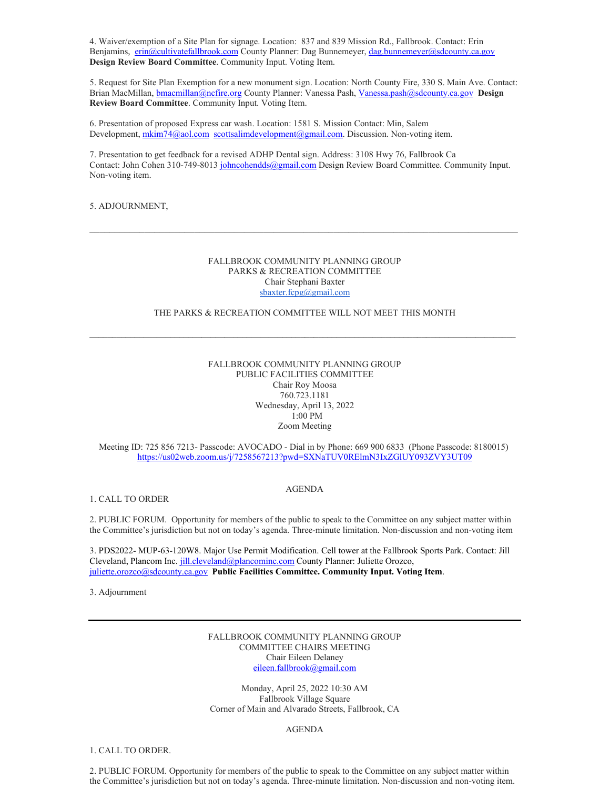4. Waiver/exemption of a Site Plan for signage. Location: 837 and 839 Mission Rd., Fallbrook. Contact: Erin Benjamins, [erin@cultivatefallbrook.com](mailto:erin@cultivatefallbrook.com) County Planner: Dag Bunnemeyer, [dag.bunnemeyer@sdcounty.ca.gov](mailto:dag.bunnemeyer@sdcounty.ca.gov) **Design Review Board Committee**. Community Input. Voting Item.

5. Request for Site Plan Exemption for a new monument sign. Location: North County Fire, 330 S. Main Ave. Contact: Brian MacMillan[, bmacmillan@ncfire.org](mailto:bmacmillan@ncfire.org) County Planner: Vanessa Pash[, Vanessa.pash@sdcounty.ca.gov](mailto:Vanessa.pash@sdcounty.ca.gov) **Design Review Board Committee**. Community Input. Voting Item.

6. Presentation of proposed Express car wash. Location: 1581 S. Mission Contact: Min, Salem Development, [mkim74@aol.com](mailto:mkim74@aol.com) [scottsalimdevelopment@gmail.com.](mailto:scottsalimdevelopment@gmail.com) Discussion. Non-voting item.

7. Presentation to get feedback for a revised ADHP Dental sign. Address: 3108 Hwy 76, Fallbrook Ca Contact: John Cohen 310-749-8013 [johncohendds@gmail.com](mailto:johncohendds@gmail.com) Design Review Board Committee. Community Input. Non-voting item.

# 5. ADJOURNMENT,

### FALLBROOK COMMUNITY PLANNING GROUP PARKS & RECREATION COMMITTEE Chair Stephani Baxter [sbaxter.fcpg@gmail.com](mailto:sbaxter.fcpg@gmail.com)

 $\mathcal{L}_\mathcal{L} = \{ \mathcal{L}_\mathcal{L} = \{ \mathcal{L}_\mathcal{L} = \{ \mathcal{L}_\mathcal{L} = \{ \mathcal{L}_\mathcal{L} = \{ \mathcal{L}_\mathcal{L} = \{ \mathcal{L}_\mathcal{L} = \{ \mathcal{L}_\mathcal{L} = \{ \mathcal{L}_\mathcal{L} = \{ \mathcal{L}_\mathcal{L} = \{ \mathcal{L}_\mathcal{L} = \{ \mathcal{L}_\mathcal{L} = \{ \mathcal{L}_\mathcal{L} = \{ \mathcal{L}_\mathcal{L} = \{ \mathcal{L}_\mathcal{$ 

## THE PARKS & RECREATION COMMITTEE WILL NOT MEET THIS MONTH

**\_\_\_\_\_\_\_\_\_\_\_\_\_\_\_\_\_\_\_\_\_\_\_\_\_\_\_\_\_\_\_\_\_\_\_\_\_\_\_\_\_\_\_\_\_\_\_\_\_\_\_\_\_\_\_\_\_\_\_\_\_\_\_\_\_\_\_\_\_\_\_\_\_\_\_\_\_\_\_\_\_\_\_\_\_\_\_\_\_\_\_\_\_\_\_**

# FALLBROOK COMMUNITY PLANNING GROUP PUBLIC FACILITIES COMMITTEE Chair Roy Moosa 760.723.1181 Wednesday, April 13, 2022 1:00 PM Zoom Meeting

Meeting ID: 725 856 7213- Passcode: AVOCADO - Dial in by Phone: 669 900 6833 (Phone Passcode: 8180015) <https://us02web.zoom.us/j/7258567213?pwd=SXNaTUV0RElmN3IxZGlUY093ZVY3UT09>

1. CALL TO ORDER

2. PUBLIC FORUM. Opportunity for members of the public to speak to the Committee on any subject matter within the Committee's jurisdiction but not on today's agenda. Three-minute limitation. Non-discussion and non-voting item

3. PDS2022- MUP-63-120W8. Major Use Permit Modification. Cell tower at the Fallbrook Sports Park. Contact: Jill Cleveland, Plancom Inc. *jill.cleveland@plancominc.com* County Planner: Juliette Orozco, [juliette.orozco@sdcounty.ca.gov](mailto:juliette.orozco@sdcounty.ca.gov) **Public Facilities Committee. Community Input. Voting Item**.

3. Adjournment

FALLBROOK COMMUNITY PLANNING GROUP COMMITTEE CHAIRS MEETING Chair Eileen Delaney [eileen.fallbrook@gmail.com](mailto:eileen.fallbrook@gmail.com)

Monday, April 25, 2022 10:30 AM Fallbrook Village Square Corner of Main and Alvarado Streets, Fallbrook, CA

#### AGENDA

1. CALL TO ORDER.

2. PUBLIC FORUM. Opportunity for members of the public to speak to the Committee on any subject matter within the Committee's jurisdiction but not on today's agenda. Three-minute limitation. Non-discussion and non-voting item.

#### AGENDA